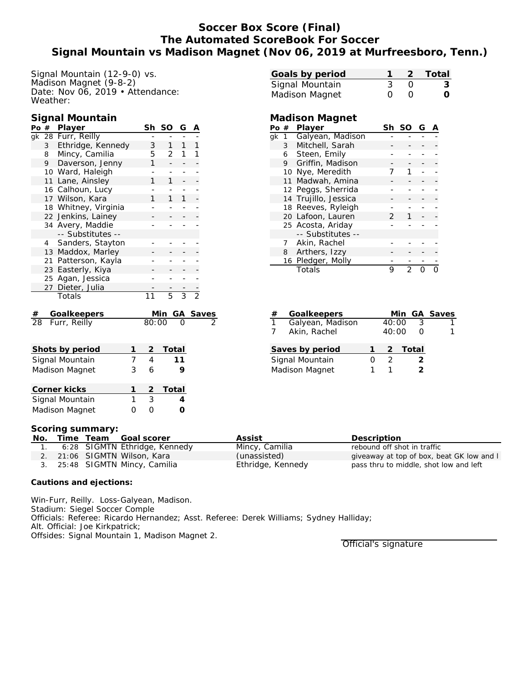# **Soccer Box Score (Final) The Automated ScoreBook For Soccer Signal Mountain vs Madison Magnet (Nov 06, 2019 at Murfreesboro, Tenn.)**

Signal Mountain (12-9-0) vs. Madison Magnet (9-8-2) Date: Nov 06, 2019 • Attendance: Weather:

#### **Signal Mountain**

| Po $#$                                         |                | Player               |                | Sh             | SO                               | G              | Α              |  |
|------------------------------------------------|----------------|----------------------|----------------|----------------|----------------------------------|----------------|----------------|--|
| gk                                             |                | 28 Furr, Reilly      |                |                |                                  |                |                |  |
| Ethridge, Kennedy<br>3                         |                |                      |                | 3              | $\mathbf{1}$                     | 1              | 1              |  |
|                                                | 8              | Mincy, Camilia       |                | 5              | 2                                | 1              | 1              |  |
| 9<br>Daverson, Jenny                           |                |                      |                | 1              |                                  | -              |                |  |
|                                                |                | 10 Ward, Haleigh     |                |                |                                  |                |                |  |
|                                                | 11             | Lane, Ainsley        |                | 1              | 1                                |                |                |  |
|                                                |                | 16 Calhoun, Lucy     |                |                |                                  |                |                |  |
|                                                |                | 17 Wilson, Kara      |                | 1              | 1                                | 1              |                |  |
|                                                |                | 18 Whitney, Virginia |                |                |                                  |                |                |  |
|                                                | 22             | Jenkins, Lainey      |                |                |                                  |                |                |  |
|                                                |                | 34 Avery, Maddie     |                |                |                                  |                |                |  |
|                                                |                | -- Substitutes --    |                |                |                                  |                |                |  |
|                                                | $\overline{4}$ | Sanders, Stayton     |                |                |                                  |                |                |  |
|                                                |                | 13 Maddox, Marley    |                |                |                                  |                |                |  |
|                                                |                | 21 Patterson, Kayla  |                |                |                                  |                |                |  |
|                                                |                | 23 Easterly, Kiya    |                |                |                                  |                |                |  |
|                                                | 25             | Agan, Jessica        |                |                |                                  |                |                |  |
|                                                | 27             | Dieter, Julia        |                |                |                                  |                |                |  |
|                                                |                | Totals               |                | 11             | $\overline{5}$                   | $\overline{3}$ | $\overline{2}$ |  |
|                                                |                |                      |                |                | <u>Min GA Saves</u><br>80:00 0 2 |                |                |  |
| Goalkeepers<br>Furr, Reilly<br>$\frac{\#}{28}$ |                |                      |                |                |                                  |                |                |  |
|                                                |                |                      |                |                |                                  |                |                |  |
|                                                |                | Shots by period      | 1              | $\overline{c}$ | Total                            |                |                |  |
| Signal Mountain                                |                |                      | $\overline{7}$ | $\overline{4}$ |                                  | 11             |                |  |
| Madison Magnet                                 |                |                      |                | 6              |                                  | 9              |                |  |
|                                                |                | Corner kicks         | 1              | $\overline{2}$ | Total                            |                |                |  |
|                                                |                | Signal Mountain      | $\overline{1}$ | $\overline{3}$ |                                  | $\overline{4}$ |                |  |
| Madison Magnet<br>0                            |                |                      |                |                |                                  | O              |                |  |

| Goals by period |                  | 2 Total          |
|-----------------|------------------|------------------|
| Signal Mountain |                  | 3                |
| Madison Magnet  | $\left( \right)$ | $\left( \right)$ |

### **Madison Magnet**

| Pο | #  | Player             | Sh            | SO | G |  |
|----|----|--------------------|---------------|----|---|--|
| ak | 1  | Galyean, Madison   |               |    |   |  |
|    | 3  | Mitchell, Sarah    |               |    |   |  |
|    | 6  | Steen, Emily       |               |    |   |  |
|    | 9  | Griffin, Madison   |               |    |   |  |
|    | 10 | Nye, Meredith      |               |    |   |  |
|    |    | 11 Madwah, Amina   |               |    |   |  |
|    |    | 12 Peggs, Sherrida |               |    |   |  |
|    | 14 | Trujillo, Jessica  |               |    |   |  |
|    |    | 18 Reeves, Ryleigh |               |    |   |  |
|    |    | 20 Lafoon, Lauren  | $\mathcal{P}$ |    |   |  |
|    |    | 25 Acosta, Ariday  |               |    |   |  |
|    |    | -- Substitutes --  |               |    |   |  |
|    | 7  | Akin, Rachel       |               |    |   |  |
|    | 8  | Arthers, Izzy      |               |    |   |  |
|    |    | 16 Pledger, Molly  |               |    |   |  |
|    |    | Totals             | 9             | っ  |   |  |

| #               | Goalkeepers      |  |               |         | Min GA Saves |
|-----------------|------------------|--|---------------|---------|--------------|
| $\mathbf{1}$    | Galyean, Madison |  | 40:00         | 3       |              |
| $\overline{7}$  | Akin, Rachel     |  | 40:00         |         |              |
|                 | Saves by period  |  |               | 2 Total |              |
| Signal Mountain |                  |  | $\mathcal{L}$ |         |              |
| Madison Magnet  |                  |  |               |         |              |

#### **Scoring summary:**

**Madison Magnet** 

| No. |  | Time Team Goal scorer          | Assist            | Description                               |
|-----|--|--------------------------------|-------------------|-------------------------------------------|
|     |  | 6:28 SIGMTN Ethridge, Kennedy  | Mincy, Camilia    | rebound off shot in traffic               |
|     |  | 2. 21:06 SIGMTN Wilson, Kara   | (unassisted)      | giveaway at top of box, beat GK low and I |
|     |  | 3. 25:48 SIGMTN Mincy, Camilia | Ethridge, Kennedy | pass thru to middle, shot low and left    |

**Cautions and ejections:**

Win-Furr, Reilly. Loss-Galyean, Madison. Stadium: Siegel Soccer Comple Officials: Referee: Ricardo Hernandez; Asst. Referee: Derek Williams; Sydney Halliday; Alt. Official: Joe Kirkpatrick; Offsides: Signal Mountain 1, Madison Magnet 2.

Official's signature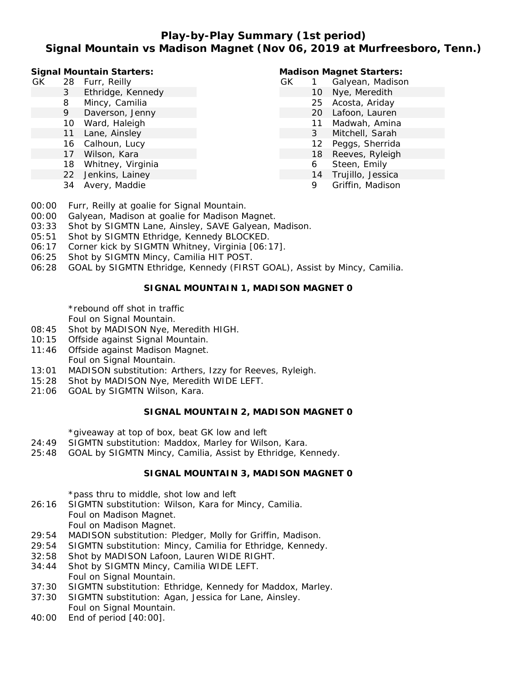## **Play-by-Play Summary (1st period) Signal Mountain vs Madison Magnet (Nov 06, 2019 at Murfreesboro, Tenn.)**

**Signal Mountain Starters:**

- GK 28 Furr, Reilly
	- 3 Ethridge, Kennedy
	- 8 Mincy, Camilia
	- 9 Daverson, Jenny
	- 10 Ward, Haleigh
	- 11 Lane, Ainsley
	- 16 Calhoun, Lucy
	- 17 Wilson, Kara
	- 18 Whitney, Virginia
	- 22 Jenkins, Lainey
	- 34 Avery, Maddie

#### **Madison Magnet Starters:**

- GK 1 Galyean, Madison 10 Nye, Meredith 25 Acosta, Ariday 20 Lafoon, Lauren 11 Madwah, Amina 3 Mitchell, Sarah 12 Peggs, Sherrida 18 Reeves, Ryleigh
	-
	- 6 Steen, Emily 14 Trujillo, Jessica
		- 9 Griffin, Madison
- 00:00 Furr, Reilly at goalie for Signal Mountain.
- 00:00 Galyean, Madison at goalie for Madison Magnet.
- 03:33 Shot by SIGMTN Lane, Ainsley, SAVE Galyean, Madison.
- 05:51 Shot by SIGMTN Ethridge, Kennedy BLOCKED.
- 06:17 Corner kick by SIGMTN Whitney, Virginia [06:17].
- 06:25 Shot by SIGMTN Mincy, Camilia HIT POST.
- 06:28 GOAL by SIGMTN Ethridge, Kennedy (FIRST GOAL), Assist by Mincy, Camilia.

#### **SIGNAL MOUNTAIN 1, MADISON MAGNET 0**

\*rebound off shot in traffic

Foul on Signal Mountain.

- 08:45 Shot by MADISON Nye, Meredith HIGH.
- 10:15 Offside against Signal Mountain.
- 11:46 Offside against Madison Magnet. Foul on Signal Mountain.
- 13:01 MADISON substitution: Arthers, Izzy for Reeves, Ryleigh.
- 15:28 Shot by MADISON Nye, Meredith WIDE LEFT.
- 21:06 GOAL by SIGMTN Wilson, Kara.

#### **SIGNAL MOUNTAIN 2, MADISON MAGNET 0**

\*giveaway at top of box, beat GK low and left

- 24:49 SIGMTN substitution: Maddox, Marley for Wilson, Kara.
- 25:48 GOAL by SIGMTN Mincy, Camilia, Assist by Ethridge, Kennedy.

#### **SIGNAL MOUNTAIN 3, MADISON MAGNET 0**

\*pass thru to middle, shot low and left

- 26:16 SIGMTN substitution: Wilson, Kara for Mincy, Camilia. Foul on Madison Magnet. Foul on Madison Magnet.
- 29:54 MADISON substitution: Pledger, Molly for Griffin, Madison.
- 29:54 SIGMTN substitution: Mincy, Camilia for Ethridge, Kennedy.
- 32:58 Shot by MADISON Lafoon, Lauren WIDE RIGHT.
- 34:44 Shot by SIGMTN Mincy, Camilia WIDE LEFT. Foul on Signal Mountain.
- 37:30 SIGMTN substitution: Ethridge, Kennedy for Maddox, Marley.
- 37:30 SIGMTN substitution: Agan, Jessica for Lane, Ainsley. Foul on Signal Mountain.
- 40:00 End of period [40:00].